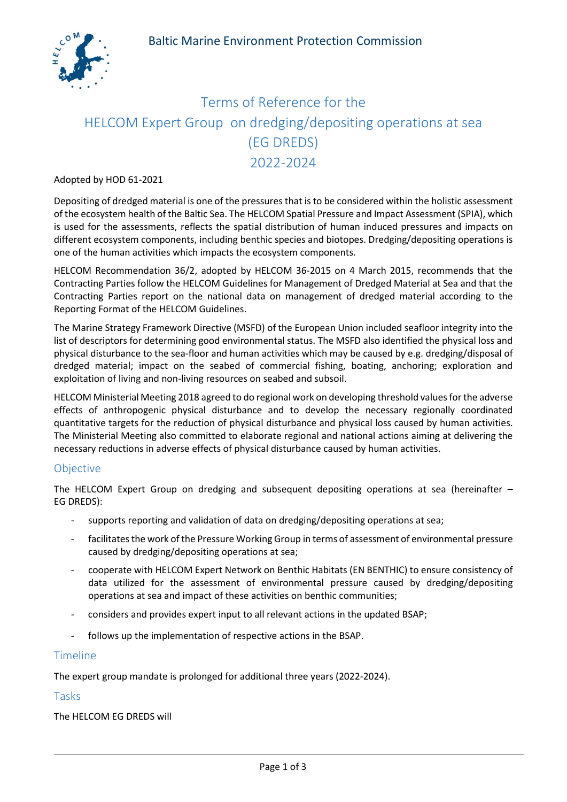

# Terms of Reference for the HELCOM Expert Group on dredging/depositing operations at sea (EG DREDS) 2022-2024

#### Adopted by HOD 61-2021

Depositing of dredged material is one of the pressures that is to be considered within the holistic assessment of the ecosystem health of the Baltic Sea. The HELCOM Spatial Pressure and Impact Assessment (SPIA), which is used for the assessments, reflects the spatial distribution of human induced pressures and impacts on different ecosystem components, including benthic species and biotopes. Dredging/depositing operations is one of the human activities which impacts the ecosystem components.

HELCOM Recommendation 36/2, adopted by HELCOM 36-2015 on 4 March 2015, recommends that the Contracting Parties follow the HELCOM Guidelines for Management of Dredged Material at Sea and that the Contracting Parties report on the national data on management of dredged material according to the Reporting Format of the HELCOM Guidelines.

The Marine Strategy Framework Directive (MSFD) of the European Union included seafloor integrity into the list of descriptors for determining good environmental status. The MSFD also identified the physical loss and physical disturbance to the sea-floor and human activities which may be caused by e.g. dredging/disposal of dredged material; impact on the seabed of commercial fishing, boating, anchoring; exploration and exploitation of living and non-living resources on seabed and subsoil.

HELCOM Ministerial Meeting 2018 agreed to do regional work on developing threshold values for the adverse effects of anthropogenic physical disturbance and to develop the necessary regionally coordinated quantitative targets for the reduction of physical disturbance and physical loss caused by human activities. The Ministerial Meeting also committed to elaborate regional and national actions aiming at delivering the necessary reductions in adverse effects of physical disturbance caused by human activities.

### **Objective**

The HELCOM Expert Group on dredging and subsequent depositing operations at sea (hereinafter – EG DREDS):

- supports reporting and validation of data on dredging/depositing operations at sea;
- facilitates the work of the Pressure Working Group in terms of assessment of environmental pressure caused by dredging/depositing operations at sea;
- cooperate with HELCOM Expert Network on Benthic Habitats (EN BENTHIC) to ensure consistency of data utilized for the assessment of environmental pressure caused by dredging/depositing operations at sea and impact of these activities on benthic communities;
- considers and provides expert input to all relevant actions in the updated BSAP;
- follows up the implementation of respective actions in the BSAP.

### Timeline

The expert group mandate is prolonged for additional three years (2022-2024).

### Tasks

The HELCOM EG DREDS will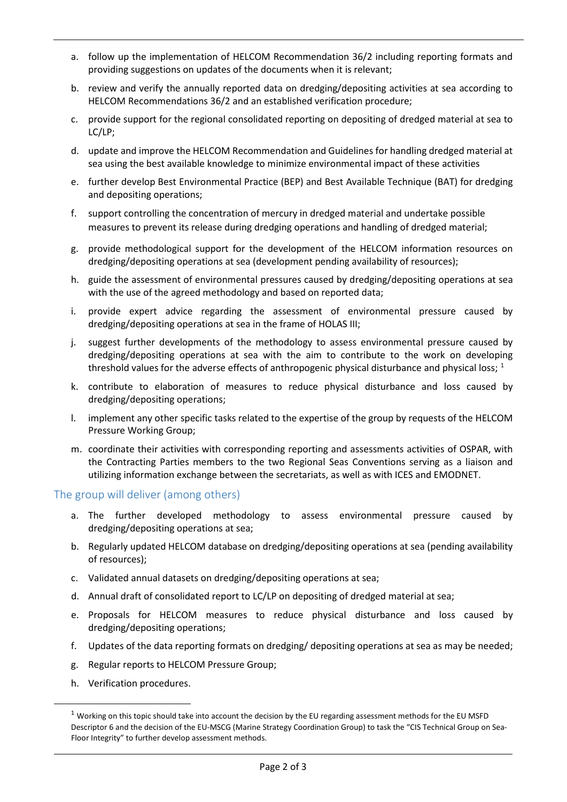- a. follow up the implementation of HELCOM Recommendation 36/2 including reporting formats and providing suggestions on updates of the documents when it is relevant;
- b. review and verify the annually reported data on dredging/depositing activities at sea according to HELCOM Recommendations 36/2 and an established verification procedure;
- c. provide support for the regional consolidated reporting on depositing of dredged material at sea to LC/LP;
- d. update and improve the HELCOM Recommendation and Guidelines for handling dredged material at sea using the best available knowledge to minimize environmental impact of these activities
- e. further develop Best Environmental Practice (BEP) and Best Available Technique (BAT) for dredging and depositing operations;
- f. support controlling the concentration of mercury in dredged material and undertake possible measures to prevent its release during dredging operations and handling of dredged material;
- g. provide methodological support for the development of the HELCOM information resources on dredging/depositing operations at sea (development pending availability of resources);
- h. guide the assessment of environmental pressures caused by dredging/depositing operations at sea with the use of the agreed methodology and based on reported data;
- i. provide expert advice regarding the assessment of environmental pressure caused by dredging/depositing operations at sea in the frame of HOLAS III;
- j. suggest further developments of the methodology to assess environmental pressure caused by dredging/depositing operations at sea with the aim to contribute to the work on developing threshold values for the adverse effects of anthropogenic physical disturbance and physical loss; <sup>[1](#page-1-0)</sup>
- k. contribute to elaboration of measures to reduce physical disturbance and loss caused by dredging/depositing operations;
- l. implement any other specific tasks related to the expertise of the group by requests of the HELCOM Pressure Working Group;
- m. coordinate their activities with corresponding reporting and assessments activities of OSPAR, with the Contracting Parties members to the two Regional Seas Conventions serving as a liaison and utilizing information exchange between the secretariats, as well as with ICES and EMODNET.

## The group will deliver (among others)

- a. The further developed methodology to assess environmental pressure caused by dredging/depositing operations at sea;
- b. Regularly updated HELCOM database on dredging/depositing operations at sea (pending availability of resources);
- c. Validated annual datasets on dredging/depositing operations at sea;
- d. Annual draft of consolidated report to LC/LP on depositing of dredged material at sea;
- e. Proposals for HELCOM measures to reduce physical disturbance and loss caused by dredging/depositing operations;
- f. Updates of the data reporting formats on dredging/ depositing operations at sea as may be needed;
- g. Regular reports to HELCOM Pressure Group;
- h. Verification procedures.

<span id="page-1-0"></span> $1$  Working on this topic should take into account the decision by the EU regarding assessment methods for the EU MSFD Descriptor 6 and the decision of the EU-MSCG (Marine Strategy Coordination Group) to task the "CIS Technical Group on Sea-Floor Integrity" to further develop assessment methods.